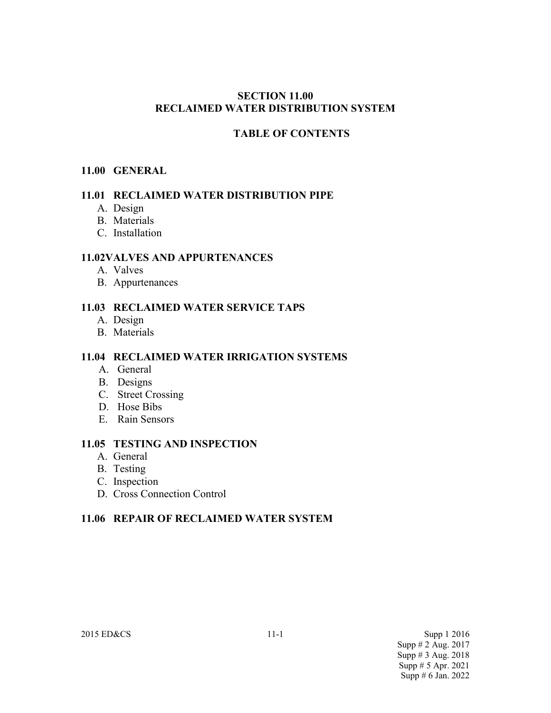#### **SECTION 11.00 RECLAIMED WATER DISTRIBUTION SYSTEM**

## **TABLE OF CONTENTS**

#### **11.00 GENERAL**

#### **11.01 RECLAIMED WATER DISTRIBUTION PIPE**

- A. Design
- B. Materials
- C. Installation

#### **11.02VALVES AND APPURTENANCES**

- A. Valves
- B. Appurtenances

#### **11.03 RECLAIMED WATER SERVICE TAPS**

- A. Design
- B. Materials

#### **11.04 RECLAIMED WATER IRRIGATION SYSTEMS**

- A. General
- B. Designs
- C. Street Crossing
- D. Hose Bibs
- E. Rain Sensors

#### **11.05 TESTING AND INSPECTION**

- A. General
- B. Testing
- C. Inspection
- D. Cross Connection Control

## **11.06 REPAIR OF RECLAIMED WATER SYSTEM**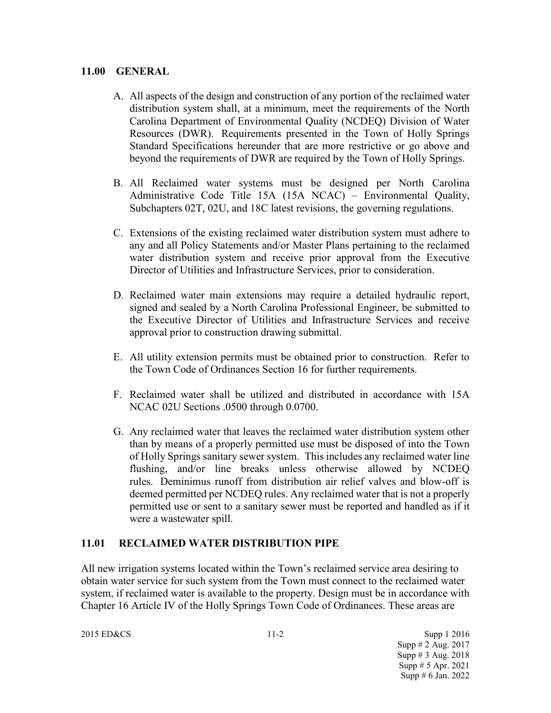#### **11.00 GENERAL**

- A. All aspects of the design and construction of any portion of the reclaimed water distribution system shall, at a minimum, meet the requirements of the North Carolina Department of Environmental Quality (NCDEQ) Division of Water Resources (DWR). Requirements presented in the Town of Holly Springs Standard Specifications hereunder that are more restrictive or go above and beyond the requirements of DWR are required by the Town of Holly Springs.
- B. All Reclaimed water systems must be designed per North Carolina Administrative Code Title 15A (15A NCAC) – Environmental Quality, Subchapters 02T, 02U, and 18C latest revisions, the governing regulations.
- C. Extensions of the existing reclaimed water distribution system must adhere to any and all Policy Statements and/or Master Plans pertaining to the reclaimed water distribution system and receive prior approval from the Executive Director of Utilities and Infrastructure Services, prior to consideration.
- D. Reclaimed water main extensions may require a detailed hydraulic report, signed and sealed by a North Carolina Professional Engineer, be submitted to the Executive Director of Utilities and Infrastructure Services and receive approval prior to construction drawing submittal.
- E. All utility extension permits must be obtained prior to construction. Refer to the Town Code of Ordinances Section 16 for further requirements.
- F. Reclaimed water shall be utilized and distributed in accordance with 15A NCAC 02U Sections .0500 through 0.0700.
- G. Any reclaimed water that leaves the reclaimed water distribution system other than by means of a properly permitted use must be disposed of into the Town of Holly Springs sanitary sewer system. This includes any reclaimed water line flushing, and/or line breaks unless otherwise allowed by NCDEQ rules. Deminimus runoff from distribution air relief valves and blow-off is deemed permitted per NCDEQ rules. Any reclaimed water that is not a properly permitted use or sent to a sanitary sewer must be reported and handled as if it were a wastewater spill.

## **11.01 RECLAIMED WATER DISTRIBUTION PIPE**

All new irrigation systems located within the Town's reclaimed service area desiring to obtain water service for such system from the Town must connect to the reclaimed water system, if reclaimed water is available to the property. Design must be in accordance with Chapter 16 Article IV of the Holly Springs Town Code of Ordinances. These areas are

2015 ED&CS 3upp 1 2016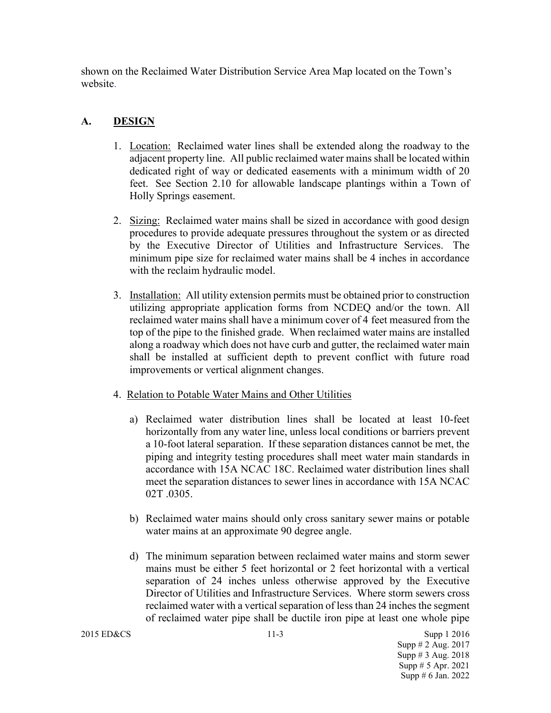shown on the Reclaimed Water Distribution Service Area Map located on the Town's website.

# **A. DESIGN**

- 1. Location: Reclaimed water lines shall be extended along the roadway to the adjacent property line. All public reclaimed water mains shall be located within dedicated right of way or dedicated easements with a minimum width of 20 feet. See Section 2.10 for allowable landscape plantings within a Town of Holly Springs easement.
- 2. Sizing: Reclaimed water mains shall be sized in accordance with good design procedures to provide adequate pressures throughout the system or as directed by the Executive Director of Utilities and Infrastructure Services. The minimum pipe size for reclaimed water mains shall be 4 inches in accordance with the reclaim hydraulic model.
- 3. Installation: All utility extension permits must be obtained prior to construction utilizing appropriate application forms from NCDEQ and/or the town. All reclaimed water mains shall have a minimum cover of 4 feet measured from the top of the pipe to the finished grade. When reclaimed water mains are installed along a roadway which does not have curb and gutter, the reclaimed water main shall be installed at sufficient depth to prevent conflict with future road improvements or vertical alignment changes.
- 4. Relation to Potable Water Mains and Other Utilities
	- a) Reclaimed water distribution lines shall be located at least 10-feet horizontally from any water line, unless local conditions or barriers prevent a 10-foot lateral separation. If these separation distances cannot be met, the piping and integrity testing procedures shall meet water main standards in accordance with 15A NCAC 18C. Reclaimed water distribution lines shall meet the separation distances to sewer lines in accordance with 15A NCAC 02T .0305.
	- b) Reclaimed water mains should only cross sanitary sewer mains or potable water mains at an approximate 90 degree angle.
	- d) The minimum separation between reclaimed water mains and storm sewer mains must be either 5 feet horizontal or 2 feet horizontal with a vertical separation of 24 inches unless otherwise approved by the Executive Director of Utilities and Infrastructure Services. Where storm sewers cross reclaimed water with a vertical separation of less than 24 inches the segment of reclaimed water pipe shall be ductile iron pipe at least one whole pipe

2015 ED&CS 11-3 Supp 1 2016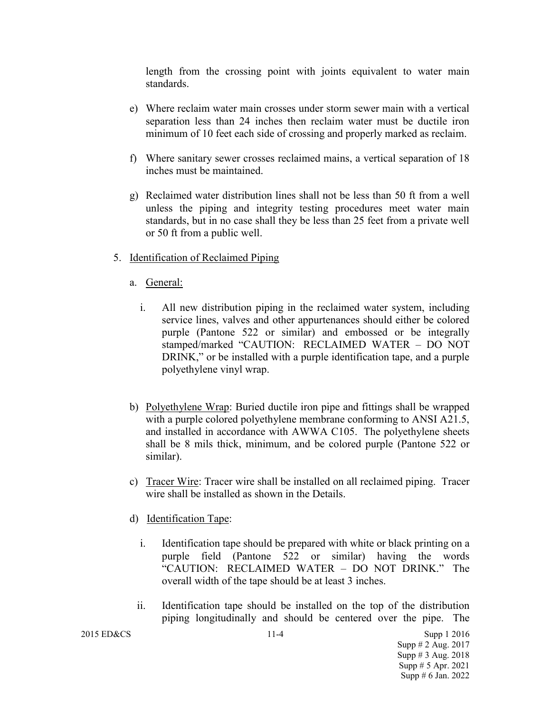length from the crossing point with joints equivalent to water main standards.

- e) Where reclaim water main crosses under storm sewer main with a vertical separation less than 24 inches then reclaim water must be ductile iron minimum of 10 feet each side of crossing and properly marked as reclaim.
- f) Where sanitary sewer crosses reclaimed mains, a vertical separation of 18 inches must be maintained.
- g) Reclaimed water distribution lines shall not be less than 50 ft from a well unless the piping and integrity testing procedures meet water main standards, but in no case shall they be less than 25 feet from a private well or 50 ft from a public well.
- 5. Identification of Reclaimed Piping
	- a. General:
		- i. All new distribution piping in the reclaimed water system, including service lines, valves and other appurtenances should either be colored purple (Pantone 522 or similar) and embossed or be integrally stamped/marked "CAUTION: RECLAIMED WATER – DO NOT DRINK," or be installed with a purple identification tape, and a purple polyethylene vinyl wrap.
	- b) Polyethylene Wrap: Buried ductile iron pipe and fittings shall be wrapped with a purple colored polyethylene membrane conforming to ANSI A21.5, and installed in accordance with AWWA C105. The polyethylene sheets shall be 8 mils thick, minimum, and be colored purple (Pantone 522 or similar).
	- c) Tracer Wire: Tracer wire shall be installed on all reclaimed piping. Tracer wire shall be installed as shown in the Details.
	- d) Identification Tape:
		- i. Identification tape should be prepared with white or black printing on a purple field (Pantone 522 or similar) having the words "CAUTION: RECLAIMED WATER – DO NOT DRINK." The overall width of the tape should be at least 3 inches.
		- ii. Identification tape should be installed on the top of the distribution piping longitudinally and should be centered over the pipe. The

2015 ED&CS 3upp 1 2016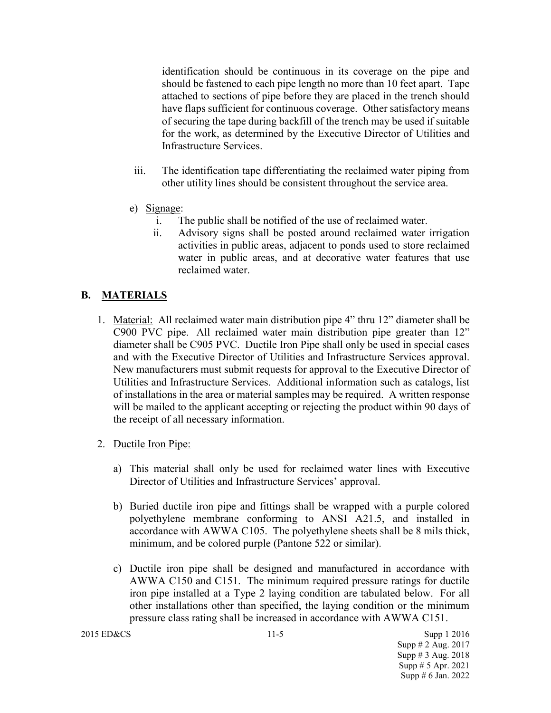identification should be continuous in its coverage on the pipe and should be fastened to each pipe length no more than 10 feet apart. Tape attached to sections of pipe before they are placed in the trench should have flaps sufficient for continuous coverage. Other satisfactory means of securing the tape during backfill of the trench may be used if suitable for the work, as determined by the Executive Director of Utilities and Infrastructure Services.

- iii. The identification tape differentiating the reclaimed water piping from other utility lines should be consistent throughout the service area.
- e) Signage:
	- i. The public shall be notified of the use of reclaimed water.
	- ii. Advisory signs shall be posted around reclaimed water irrigation activities in public areas, adjacent to ponds used to store reclaimed water in public areas, and at decorative water features that use reclaimed water.

#### **B. MATERIALS**

- 1. Material: All reclaimed water main distribution pipe 4" thru 12" diameter shall be C900 PVC pipe. All reclaimed water main distribution pipe greater than 12" diameter shall be C905 PVC. Ductile Iron Pipe shall only be used in special cases and with the Executive Director of Utilities and Infrastructure Services approval. New manufacturers must submit requests for approval to the Executive Director of Utilities and Infrastructure Services. Additional information such as catalogs, list of installations in the area or material samples may be required. A written response will be mailed to the applicant accepting or rejecting the product within 90 days of the receipt of all necessary information.
- 2. Ductile Iron Pipe:
	- a) This material shall only be used for reclaimed water lines with Executive Director of Utilities and Infrastructure Services' approval.
	- b) Buried ductile iron pipe and fittings shall be wrapped with a purple colored polyethylene membrane conforming to ANSI A21.5, and installed in accordance with AWWA C105. The polyethylene sheets shall be 8 mils thick, minimum, and be colored purple (Pantone 522 or similar).
	- c) Ductile iron pipe shall be designed and manufactured in accordance with AWWA C150 and C151. The minimum required pressure ratings for ductile iron pipe installed at a Type 2 laying condition are tabulated below. For all other installations other than specified, the laying condition or the minimum pressure class rating shall be increased in accordance with AWWA C151.

```
2015 ED&CS 3upp 1 2016
```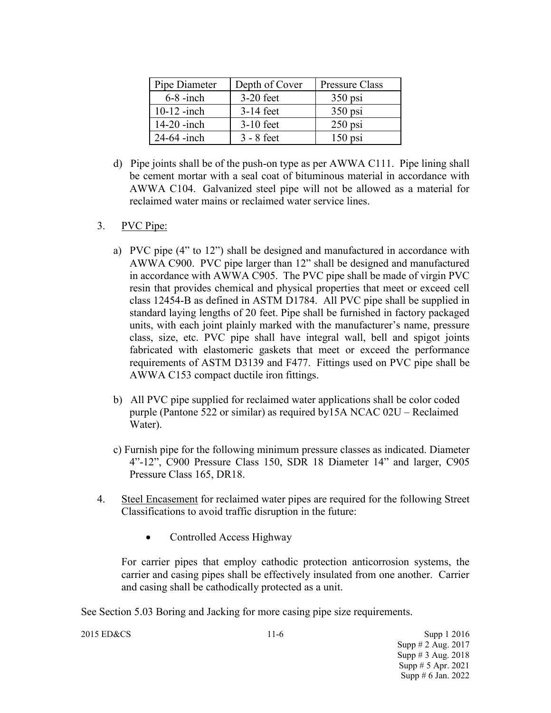| Pipe Diameter | Depth of Cover | Pressure Class |
|---------------|----------------|----------------|
| $6-8$ -inch   | $3-20$ feet    | $350$ psi      |
| $10-12$ -inch | $3-14$ feet    | $350$ psi      |
| $14-20$ -inch | $3-10$ feet    | $250$ psi      |
| $24-64$ -inch | $3 - 8$ feet   | $150$ psi      |

d) Pipe joints shall be of the push-on type as per AWWA C111. Pipe lining shall be cement mortar with a seal coat of bituminous material in accordance with AWWA C104. Galvanized steel pipe will not be allowed as a material for reclaimed water mains or reclaimed water service lines.

## 3. PVC Pipe:

- a) PVC pipe (4" to 12") shall be designed and manufactured in accordance with AWWA C900. PVC pipe larger than 12" shall be designed and manufactured in accordance with AWWA C905. The PVC pipe shall be made of virgin PVC resin that provides chemical and physical properties that meet or exceed cell class 12454-B as defined in ASTM D1784. All PVC pipe shall be supplied in standard laying lengths of 20 feet. Pipe shall be furnished in factory packaged units, with each joint plainly marked with the manufacturer's name, pressure class, size, etc. PVC pipe shall have integral wall, bell and spigot joints fabricated with elastomeric gaskets that meet or exceed the performance requirements of ASTM D3139 and F477. Fittings used on PVC pipe shall be AWWA C153 compact ductile iron fittings.
- b) All PVC pipe supplied for reclaimed water applications shall be color coded purple (Pantone 522 or similar) as required by15A NCAC 02U – Reclaimed Water).
- c) Furnish pipe for the following minimum pressure classes as indicated. Diameter 4"-12", C900 Pressure Class 150, SDR 18 Diameter 14" and larger, C905 Pressure Class 165, DR18.
- 4. Steel Encasement for reclaimed water pipes are required for the following Street Classifications to avoid traffic disruption in the future:
	- Controlled Access Highway

For carrier pipes that employ cathodic protection anticorrosion systems, the carrier and casing pipes shall be effectively insulated from one another. Carrier and casing shall be cathodically protected as a unit.

See Section 5.03 Boring and Jacking for more casing pipe size requirements.

2015 ED&CS 11-6 Supp 1 2016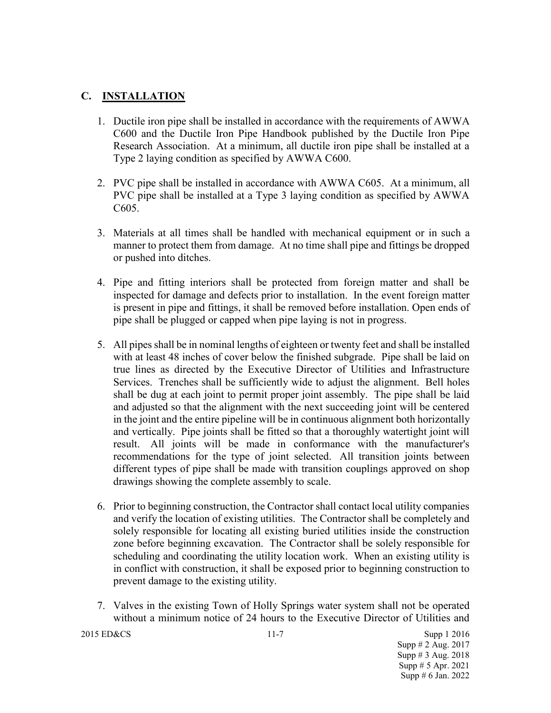## **C. INSTALLATION**

- 1. Ductile iron pipe shall be installed in accordance with the requirements of AWWA C600 and the Ductile Iron Pipe Handbook published by the Ductile Iron Pipe Research Association. At a minimum, all ductile iron pipe shall be installed at a Type 2 laying condition as specified by AWWA C600.
- 2. PVC pipe shall be installed in accordance with AWWA C605. At a minimum, all PVC pipe shall be installed at a Type 3 laying condition as specified by AWWA C605.
- 3. Materials at all times shall be handled with mechanical equipment or in such a manner to protect them from damage. At no time shall pipe and fittings be dropped or pushed into ditches.
- 4. Pipe and fitting interiors shall be protected from foreign matter and shall be inspected for damage and defects prior to installation. In the event foreign matter is present in pipe and fittings, it shall be removed before installation. Open ends of pipe shall be plugged or capped when pipe laying is not in progress.
- 5. All pipes shall be in nominal lengths of eighteen or twenty feet and shall be installed with at least 48 inches of cover below the finished subgrade. Pipe shall be laid on true lines as directed by the Executive Director of Utilities and Infrastructure Services. Trenches shall be sufficiently wide to adjust the alignment. Bell holes shall be dug at each joint to permit proper joint assembly. The pipe shall be laid and adjusted so that the alignment with the next succeeding joint will be centered in the joint and the entire pipeline will be in continuous alignment both horizontally and vertically. Pipe joints shall be fitted so that a thoroughly watertight joint will result. All joints will be made in conformance with the manufacturer's recommendations for the type of joint selected. All transition joints between different types of pipe shall be made with transition couplings approved on shop drawings showing the complete assembly to scale.
- 6. Prior to beginning construction, the Contractor shall contact local utility companies and verify the location of existing utilities. The Contractor shall be completely and solely responsible for locating all existing buried utilities inside the construction zone before beginning excavation. The Contractor shall be solely responsible for scheduling and coordinating the utility location work. When an existing utility is in conflict with construction, it shall be exposed prior to beginning construction to prevent damage to the existing utility.
- 7. Valves in the existing Town of Holly Springs water system shall not be operated without a minimum notice of 24 hours to the Executive Director of Utilities and

```
2015 ED&CS 3upp 1 2016
```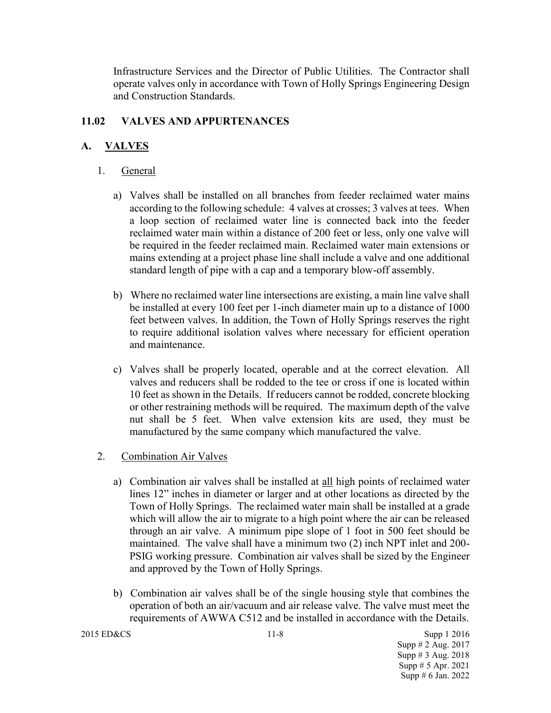Infrastructure Services and the Director of Public Utilities. The Contractor shall operate valves only in accordance with Town of Holly Springs Engineering Design and Construction Standards.

# **11.02 VALVES AND APPURTENANCES**

# **A. VALVES**

- 1. General
	- a) Valves shall be installed on all branches from feeder reclaimed water mains according to the following schedule: 4 valves at crosses; 3 valves at tees. When a loop section of reclaimed water line is connected back into the feeder reclaimed water main within a distance of 200 feet or less, only one valve will be required in the feeder reclaimed main. Reclaimed water main extensions or mains extending at a project phase line shall include a valve and one additional standard length of pipe with a cap and a temporary blow-off assembly.
	- b) Where no reclaimed water line intersections are existing, a main line valve shall be installed at every 100 feet per 1-inch diameter main up to a distance of 1000 feet between valves. In addition, the Town of Holly Springs reserves the right to require additional isolation valves where necessary for efficient operation and maintenance.
	- c) Valves shall be properly located, operable and at the correct elevation. All valves and reducers shall be rodded to the tee or cross if one is located within 10 feet as shown in the Details. If reducers cannot be rodded, concrete blocking or other restraining methods will be required. The maximum depth of the valve nut shall be 5 feet. When valve extension kits are used, they must be manufactured by the same company which manufactured the valve.
- 2. Combination Air Valves
	- a) Combination air valves shall be installed at all high points of reclaimed water lines 12" inches in diameter or larger and at other locations as directed by the Town of Holly Springs. The reclaimed water main shall be installed at a grade which will allow the air to migrate to a high point where the air can be released through an air valve. A minimum pipe slope of 1 foot in 500 feet should be maintained. The valve shall have a minimum two (2) inch NPT inlet and 200- PSIG working pressure. Combination air valves shall be sized by the Engineer and approved by the Town of Holly Springs.
	- b) Combination air valves shall be of the single housing style that combines the operation of both an air/vacuum and air release valve. The valve must meet the requirements of AWWA C512 and be installed in accordance with the Details.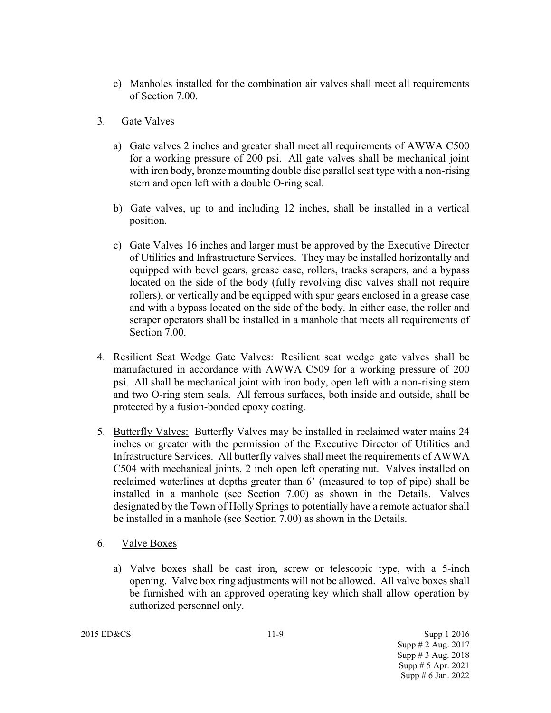- c) Manholes installed for the combination air valves shall meet all requirements of Section 7.00.
- 3. Gate Valves
	- a) Gate valves 2 inches and greater shall meet all requirements of AWWA C500 for a working pressure of 200 psi. All gate valves shall be mechanical joint with iron body, bronze mounting double disc parallel seat type with a non-rising stem and open left with a double O-ring seal.
	- b) Gate valves, up to and including 12 inches, shall be installed in a vertical position.
	- c) Gate Valves 16 inches and larger must be approved by the Executive Director of Utilities and Infrastructure Services. They may be installed horizontally and equipped with bevel gears, grease case, rollers, tracks scrapers, and a bypass located on the side of the body (fully revolving disc valves shall not require rollers), or vertically and be equipped with spur gears enclosed in a grease case and with a bypass located on the side of the body. In either case, the roller and scraper operators shall be installed in a manhole that meets all requirements of Section 7.00.
- 4. Resilient Seat Wedge Gate Valves: Resilient seat wedge gate valves shall be manufactured in accordance with AWWA C509 for a working pressure of 200 psi. All shall be mechanical joint with iron body, open left with a non-rising stem and two O-ring stem seals. All ferrous surfaces, both inside and outside, shall be protected by a fusion-bonded epoxy coating.
- 5. Butterfly Valves: Butterfly Valves may be installed in reclaimed water mains 24 inches or greater with the permission of the Executive Director of Utilities and Infrastructure Services. All butterfly valves shall meet the requirements of AWWA C504 with mechanical joints, 2 inch open left operating nut. Valves installed on reclaimed waterlines at depths greater than 6' (measured to top of pipe) shall be installed in a manhole (see Section 7.00) as shown in the Details. Valves designated by the Town of Holly Springs to potentially have a remote actuator shall be installed in a manhole (see Section 7.00) as shown in the Details.
- 6. Valve Boxes
	- a) Valve boxes shall be cast iron, screw or telescopic type, with a 5-inch opening. Valve box ring adjustments will not be allowed. All valve boxes shall be furnished with an approved operating key which shall allow operation by authorized personnel only.

2015 ED&CS 11-9 Supp 1 2016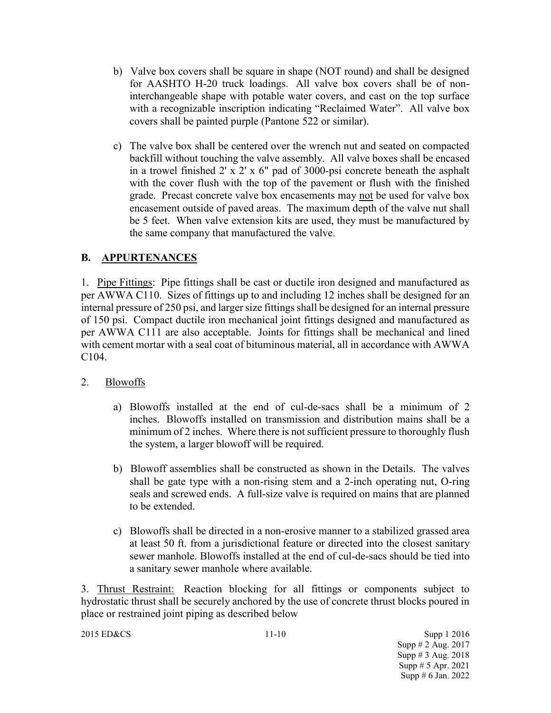- b) Valve box covers shall be square in shape (NOT round) and shall be designed for AASHTO H-20 truck loadings. All valve box covers shall be of noninterchangeable shape with potable water covers, and cast on the top surface with a recognizable inscription indicating "Reclaimed Water". All valve box covers shall be painted purple (Pantone 522 or similar).
- c) The valve box shall be centered over the wrench nut and seated on compacted backfill without touching the valve assembly. All valve boxes shall be encased in a trowel finished 2' x 2' x 6" pad of 3000-psi concrete beneath the asphalt with the cover flush with the top of the pavement or flush with the finished grade. Precast concrete valve box encasements may not be used for valve box encasement outside of paved areas. The maximum depth of the valve nut shall be 5 feet. When valve extension kits are used, they must be manufactured by the same company that manufactured the valve.

# **B. APPURTENANCES**

1. Pipe Fittings: Pipe fittings shall be cast or ductile iron designed and manufactured as per AWWA C110. Sizes of fittings up to and including 12 inches shall be designed for an internal pressure of 250 psi, and larger size fittings shall be designed for an internal pressure of 150 psi. Compact ductile iron mechanical joint fittings designed and manufactured as per AWWA C111 are also acceptable. Joints for fittings shall be mechanical and lined with cement mortar with a seal coat of bituminous material, all in accordance with AWWA C104.

## 2. Blowoffs

- a) Blowoffs installed at the end of cul-de-sacs shall be a minimum of 2 inches. Blowoffs installed on transmission and distribution mains shall be a minimum of 2 inches. Where there is not sufficient pressure to thoroughly flush the system, a larger blowoff will be required.
- b) Blowoff assemblies shall be constructed as shown in the Details. The valves shall be gate type with a non-rising stem and a 2-inch operating nut, O-ring seals and screwed ends. A full-size valve is required on mains that are planned to be extended.
- c) Blowoffs shall be directed in a non-erosive manner to a stabilized grassed area at least 50 ft. from a jurisdictional feature or directed into the closest sanitary sewer manhole. Blowoffs installed at the end of cul-de-sacs should be tied into a sanitary sewer manhole where available.

3. Thrust Restraint: Reaction blocking for all fittings or components subject to hydrostatic thrust shall be securely anchored by the use of concrete thrust blocks poured in place or restrained joint piping as described below

2015 ED&CS 11-10 Supp 1 2016 Supp # 2 Aug. 2017 Supp # 3 Aug. 2018 Supp # 5 Apr. 2021 Supp # 6 Jan. 2022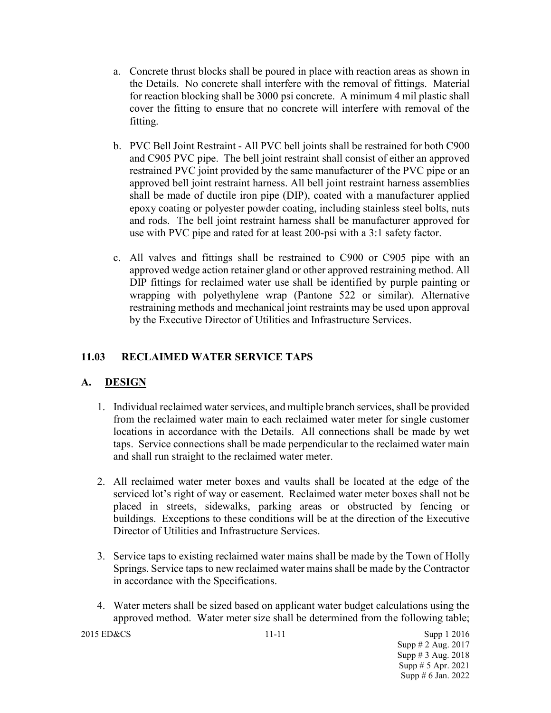- a. Concrete thrust blocks shall be poured in place with reaction areas as shown in the Details. No concrete shall interfere with the removal of fittings. Material for reaction blocking shall be 3000 psi concrete. A minimum 4 mil plastic shall cover the fitting to ensure that no concrete will interfere with removal of the fitting.
- b. PVC Bell Joint Restraint All PVC bell joints shall be restrained for both C900 and C905 PVC pipe. The bell joint restraint shall consist of either an approved restrained PVC joint provided by the same manufacturer of the PVC pipe or an approved bell joint restraint harness. All bell joint restraint harness assemblies shall be made of ductile iron pipe (DIP), coated with a manufacturer applied epoxy coating or polyester powder coating, including stainless steel bolts, nuts and rods. The bell joint restraint harness shall be manufacturer approved for use with PVC pipe and rated for at least 200-psi with a 3:1 safety factor.
- c. All valves and fittings shall be restrained to C900 or C905 pipe with an approved wedge action retainer gland or other approved restraining method. All DIP fittings for reclaimed water use shall be identified by purple painting or wrapping with polyethylene wrap (Pantone 522 or similar). Alternative restraining methods and mechanical joint restraints may be used upon approval by the Executive Director of Utilities and Infrastructure Services.

# **11.03 RECLAIMED WATER SERVICE TAPS**

## **A. DESIGN**

- 1. Individual reclaimed water services, and multiple branch services, shall be provided from the reclaimed water main to each reclaimed water meter for single customer locations in accordance with the Details. All connections shall be made by wet taps. Service connections shall be made perpendicular to the reclaimed water main and shall run straight to the reclaimed water meter.
- 2. All reclaimed water meter boxes and vaults shall be located at the edge of the serviced lot's right of way or easement. Reclaimed water meter boxes shall not be placed in streets, sidewalks, parking areas or obstructed by fencing or buildings. Exceptions to these conditions will be at the direction of the Executive Director of Utilities and Infrastructure Services.
- 3. Service taps to existing reclaimed water mains shall be made by the Town of Holly Springs. Service taps to new reclaimed water mains shall be made by the Contractor in accordance with the Specifications.
- 4. Water meters shall be sized based on applicant water budget calculations using the approved method. Water meter size shall be determined from the following table;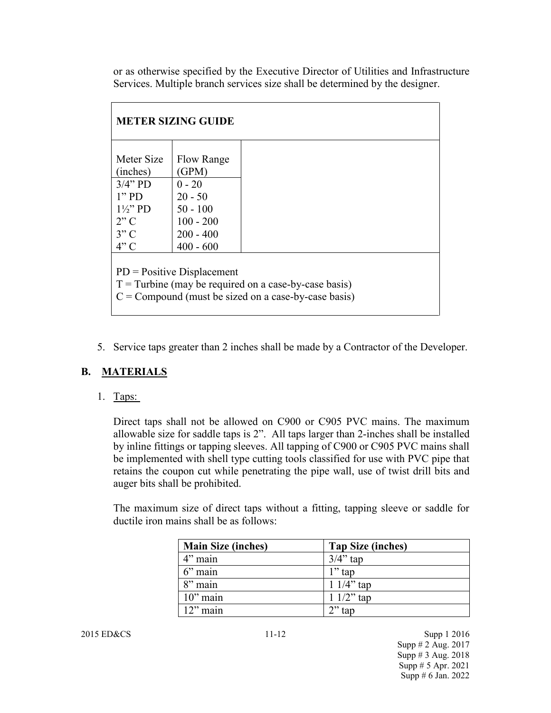or as otherwise specified by the Executive Director of Utilities and Infrastructure Services. Multiple branch services size shall be determined by the designer.

| <b>METER SIZING GUIDE</b>                                                                                                                         |             |  |
|---------------------------------------------------------------------------------------------------------------------------------------------------|-------------|--|
| Meter Size                                                                                                                                        | Flow Range  |  |
| (inches)                                                                                                                                          | (GPM)       |  |
| $3/4$ " PD                                                                                                                                        | $0 - 20$    |  |
| $1"$ PD                                                                                                                                           | $20 - 50$   |  |
| $1\frac{1}{2}$ PD                                                                                                                                 | $50 - 100$  |  |
| 2"C                                                                                                                                               | $100 - 200$ |  |
| 3"C                                                                                                                                               | $200 - 400$ |  |
| 4"C                                                                                                                                               | $400 - 600$ |  |
| $PD = Positive Displacement$<br>$T =$ Turbine (may be required on a case-by-case basis)<br>$C =$ Compound (must be sized on a case-by-case basis) |             |  |

5. Service taps greater than 2 inches shall be made by a Contractor of the Developer.

# **B. MATERIALS**

1. Taps:

Direct taps shall not be allowed on C900 or C905 PVC mains. The maximum allowable size for saddle taps is 2". All taps larger than 2-inches shall be installed by inline fittings or tapping sleeves. All tapping of C900 or C905 PVC mains shall be implemented with shell type cutting tools classified for use with PVC pipe that retains the coupon cut while penetrating the pipe wall, use of twist drill bits and auger bits shall be prohibited.

The maximum size of direct taps without a fitting, tapping sleeve or saddle for ductile iron mains shall be as follows:

| <b>Main Size (inches)</b> | Tap Size (inches) |
|---------------------------|-------------------|
| $4$ " main                | $3/4$ " tap       |
| $6$ " main                | $1$ " tap         |
| 8" main                   | $11/4$ " tap      |
| $10$ " main               | $11/2$ " tap      |
| $\frac{12}{2}$ main       | $2$ " tap         |

2015 ED&CS 11-12 Supp 1 2016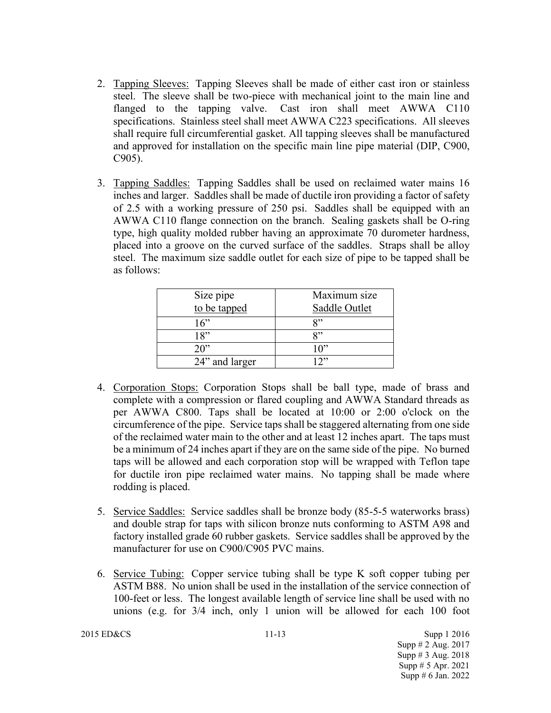- 2. Tapping Sleeves: Tapping Sleeves shall be made of either cast iron or stainless steel. The sleeve shall be two-piece with mechanical joint to the main line and flanged to the tapping valve. Cast iron shall meet AWWA C110 specifications. Stainless steel shall meet AWWA C223 specifications. All sleeves shall require full circumferential gasket. All tapping sleeves shall be manufactured and approved for installation on the specific main line pipe material (DIP, C900, C905).
- 3. Tapping Saddles: Tapping Saddles shall be used on reclaimed water mains 16 inches and larger. Saddles shall be made of ductile iron providing a factor of safety of 2.5 with a working pressure of 250 psi. Saddles shall be equipped with an AWWA C110 flange connection on the branch. Sealing gaskets shall be O-ring type, high quality molded rubber having an approximate 70 durometer hardness, placed into a groove on the curved surface of the saddles. Straps shall be alloy steel. The maximum size saddle outlet for each size of pipe to be tapped shall be as follows:

| Size pipe<br>to be tapped | Maximum size<br>Saddle Outlet |
|---------------------------|-------------------------------|
| 16"                       | Q»                            |
| 18"                       | Q»                            |
| 20                        | 10"                           |
| 24" and larger            | າ"                            |

- 4. Corporation Stops: Corporation Stops shall be ball type, made of brass and complete with a compression or flared coupling and AWWA Standard threads as per AWWA C800. Taps shall be located at 10:00 or 2:00 o'clock on the circumference of the pipe. Service taps shall be staggered alternating from one side of the reclaimed water main to the other and at least 12 inches apart. The taps must be a minimum of 24 inches apart if they are on the same side of the pipe. No burned taps will be allowed and each corporation stop will be wrapped with Teflon tape for ductile iron pipe reclaimed water mains. No tapping shall be made where rodding is placed.
- 5. Service Saddles: Service saddles shall be bronze body (85-5-5 waterworks brass) and double strap for taps with silicon bronze nuts conforming to ASTM A98 and factory installed grade 60 rubber gaskets. Service saddles shall be approved by the manufacturer for use on C900/C905 PVC mains.
- 6. Service Tubing: Copper service tubing shall be type K soft copper tubing per ASTM B88. No union shall be used in the installation of the service connection of 100-feet or less. The longest available length of service line shall be used with no unions (e.g. for 3/4 inch, only 1 union will be allowed for each 100 foot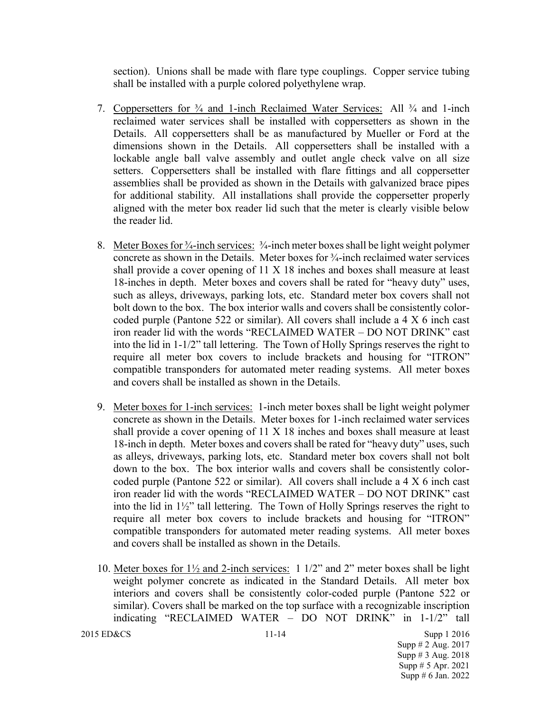section). Unions shall be made with flare type couplings. Copper service tubing shall be installed with a purple colored polyethylene wrap.

- 7. Coppersetters for ¾ and 1-inch Reclaimed Water Services: All ¾ and 1-inch reclaimed water services shall be installed with coppersetters as shown in the Details. All coppersetters shall be as manufactured by Mueller or Ford at the dimensions shown in the Details. All coppersetters shall be installed with a lockable angle ball valve assembly and outlet angle check valve on all size setters. Coppersetters shall be installed with flare fittings and all coppersetter assemblies shall be provided as shown in the Details with galvanized brace pipes for additional stability. All installations shall provide the coppersetter properly aligned with the meter box reader lid such that the meter is clearly visible below the reader lid.
- 8. Meter Boxes for <sup>3</sup>/<sub>4</sub>-inch services: <sup>3</sup>/<sub>4</sub>-inch meter boxes shall be light weight polymer concrete as shown in the Details. Meter boxes for ¾-inch reclaimed water services shall provide a cover opening of 11 X 18 inches and boxes shall measure at least 18-inches in depth. Meter boxes and covers shall be rated for "heavy duty" uses, such as alleys, driveways, parking lots, etc. Standard meter box covers shall not bolt down to the box. The box interior walls and covers shall be consistently colorcoded purple (Pantone 522 or similar). All covers shall include a 4 X 6 inch cast iron reader lid with the words "RECLAIMED WATER – DO NOT DRINK" cast into the lid in 1-1/2" tall lettering. The Town of Holly Springs reserves the right to require all meter box covers to include brackets and housing for "ITRON" compatible transponders for automated meter reading systems. All meter boxes and covers shall be installed as shown in the Details.
- 9. Meter boxes for 1-inch services: 1-inch meter boxes shall be light weight polymer concrete as shown in the Details. Meter boxes for 1-inch reclaimed water services shall provide a cover opening of 11 X 18 inches and boxes shall measure at least 18-inch in depth. Meter boxes and covers shall be rated for "heavy duty" uses, such as alleys, driveways, parking lots, etc. Standard meter box covers shall not bolt down to the box. The box interior walls and covers shall be consistently colorcoded purple (Pantone 522 or similar). All covers shall include a 4 X 6 inch cast iron reader lid with the words "RECLAIMED WATER – DO NOT DRINK" cast into the lid in 1½" tall lettering. The Town of Holly Springs reserves the right to require all meter box covers to include brackets and housing for "ITRON" compatible transponders for automated meter reading systems. All meter boxes and covers shall be installed as shown in the Details.
- 10. Meter boxes for 1½ and 2-inch services: 1 1/2" and 2" meter boxes shall be light weight polymer concrete as indicated in the Standard Details. All meter box interiors and covers shall be consistently color-coded purple (Pantone 522 or similar). Covers shall be marked on the top surface with a recognizable inscription indicating "RECLAIMED WATER – DO NOT DRINK" in 1-1/2" tall

2015 ED&CS 11-14 Supp 1 2016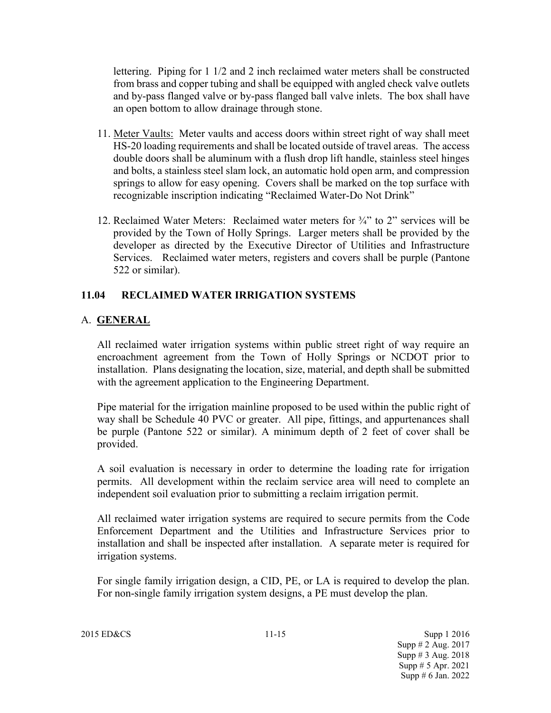lettering. Piping for 1 1/2 and 2 inch reclaimed water meters shall be constructed from brass and copper tubing and shall be equipped with angled check valve outlets and by-pass flanged valve or by-pass flanged ball valve inlets. The box shall have an open bottom to allow drainage through stone.

- 11. Meter Vaults: Meter vaults and access doors within street right of way shall meet HS-20 loading requirements and shall be located outside of travel areas. The access double doors shall be aluminum with a flush drop lift handle, stainless steel hinges and bolts, a stainless steel slam lock, an automatic hold open arm, and compression springs to allow for easy opening. Covers shall be marked on the top surface with recognizable inscription indicating "Reclaimed Water-Do Not Drink"
- 12. Reclaimed Water Meters: Reclaimed water meters for ¾" to 2" services will be provided by the Town of Holly Springs. Larger meters shall be provided by the developer as directed by the Executive Director of Utilities and Infrastructure Services. Reclaimed water meters, registers and covers shall be purple (Pantone 522 or similar).

# **11.04 RECLAIMED WATER IRRIGATION SYSTEMS**

# A. **GENERAL**

All reclaimed water irrigation systems within public street right of way require an encroachment agreement from the Town of Holly Springs or NCDOT prior to installation. Plans designating the location, size, material, and depth shall be submitted with the agreement application to the Engineering Department.

Pipe material for the irrigation mainline proposed to be used within the public right of way shall be Schedule 40 PVC or greater. All pipe, fittings, and appurtenances shall be purple (Pantone 522 or similar). A minimum depth of 2 feet of cover shall be provided.

A soil evaluation is necessary in order to determine the loading rate for irrigation permits. All development within the reclaim service area will need to complete an independent soil evaluation prior to submitting a reclaim irrigation permit.

All reclaimed water irrigation systems are required to secure permits from the Code Enforcement Department and the Utilities and Infrastructure Services prior to installation and shall be inspected after installation. A separate meter is required for irrigation systems.

For single family irrigation design, a CID, PE, or LA is required to develop the plan. For non-single family irrigation system designs, a PE must develop the plan.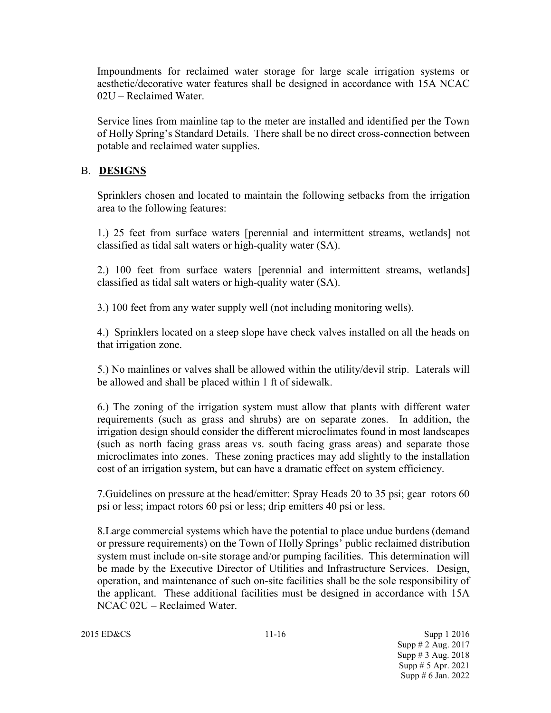Impoundments for reclaimed water storage for large scale irrigation systems or aesthetic/decorative water features shall be designed in accordance with 15A NCAC 02U – Reclaimed Water.

Service lines from mainline tap to the meter are installed and identified per the Town of Holly Spring's Standard Details. There shall be no direct cross-connection between potable and reclaimed water supplies.

## B. **DESIGNS**

Sprinklers chosen and located to maintain the following setbacks from the irrigation area to the following features:

1.) 25 feet from surface waters [perennial and intermittent streams, wetlands] not classified as tidal salt waters or high-quality water (SA).

2.) 100 feet from surface waters [perennial and intermittent streams, wetlands] classified as tidal salt waters or high-quality water (SA).

3.) 100 feet from any water supply well (not including monitoring wells).

4.) Sprinklers located on a steep slope have check valves installed on all the heads on that irrigation zone.

5.) No mainlines or valves shall be allowed within the utility/devil strip. Laterals will be allowed and shall be placed within 1 ft of sidewalk.

6.) The zoning of the irrigation system must allow that plants with different water requirements (such as grass and shrubs) are on separate zones. In addition, the irrigation design should consider the different microclimates found in most landscapes (such as north facing grass areas vs. south facing grass areas) and separate those microclimates into zones. These zoning practices may add slightly to the installation cost of an irrigation system, but can have a dramatic effect on system efficiency.

7.Guidelines on pressure at the head/emitter: Spray Heads 20 to 35 psi; gear rotors 60 psi or less; impact rotors 60 psi or less; drip emitters 40 psi or less.

8.Large commercial systems which have the potential to place undue burdens (demand or pressure requirements) on the Town of Holly Springs' public reclaimed distribution system must include on-site storage and/or pumping facilities. This determination will be made by the Executive Director of Utilities and Infrastructure Services. Design, operation, and maintenance of such on-site facilities shall be the sole responsibility of the applicant. These additional facilities must be designed in accordance with 15A NCAC 02U – Reclaimed Water.

2015 ED&CS 11-16 Supp 1 2016 Supp # 2 Aug. 2017 Supp # 3 Aug. 2018 Supp # 5 Apr. 2021 Supp # 6 Jan. 2022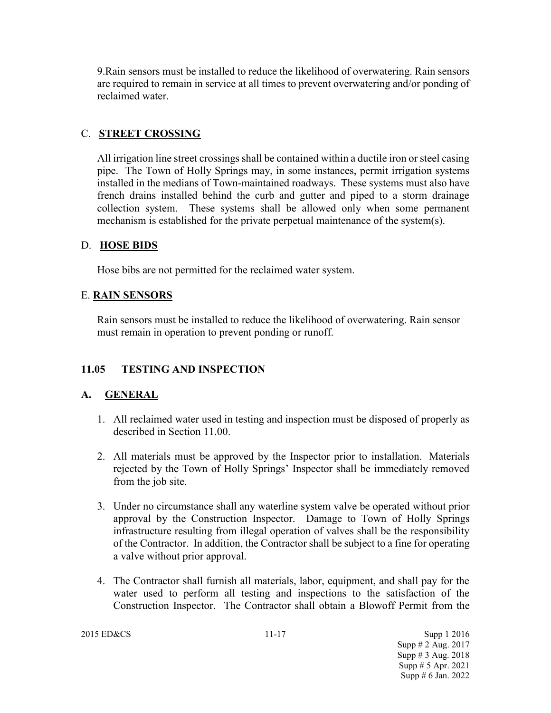9.Rain sensors must be installed to reduce the likelihood of overwatering. Rain sensors are required to remain in service at all times to prevent overwatering and/or ponding of reclaimed water.

## C. **STREET CROSSING**

All irrigation line street crossings shall be contained within a ductile iron or steel casing pipe. The Town of Holly Springs may, in some instances, permit irrigation systems installed in the medians of Town-maintained roadways. These systems must also have french drains installed behind the curb and gutter and piped to a storm drainage collection system. These systems shall be allowed only when some permanent mechanism is established for the private perpetual maintenance of the system(s).

## D. **HOSE BIDS**

Hose bibs are not permitted for the reclaimed water system.

## E. **RAIN SENSORS**

Rain sensors must be installed to reduce the likelihood of overwatering. Rain sensor must remain in operation to prevent ponding or runoff.

## **11.05 TESTING AND INSPECTION**

## **A. GENERAL**

- 1. All reclaimed water used in testing and inspection must be disposed of properly as described in Section 11.00.
- 2. All materials must be approved by the Inspector prior to installation. Materials rejected by the Town of Holly Springs' Inspector shall be immediately removed from the job site.
- 3. Under no circumstance shall any waterline system valve be operated without prior approval by the Construction Inspector. Damage to Town of Holly Springs infrastructure resulting from illegal operation of valves shall be the responsibility of the Contractor. In addition, the Contractor shall be subject to a fine for operating a valve without prior approval.
- 4. The Contractor shall furnish all materials, labor, equipment, and shall pay for the water used to perform all testing and inspections to the satisfaction of the Construction Inspector. The Contractor shall obtain a Blowoff Permit from the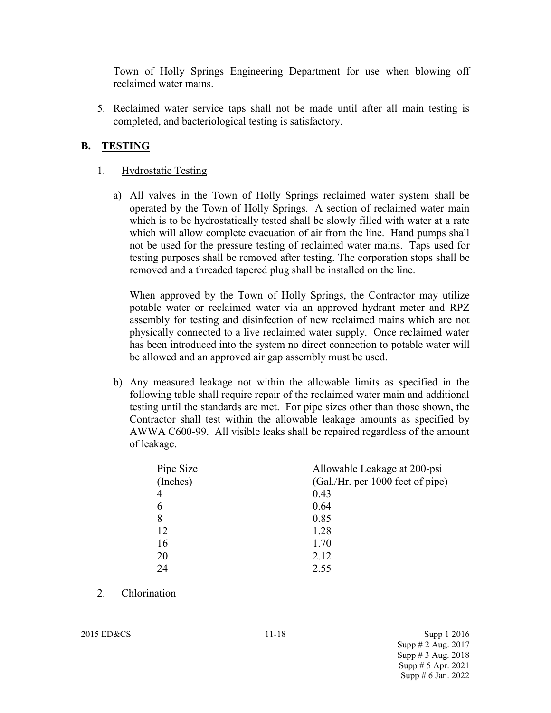Town of Holly Springs Engineering Department for use when blowing off reclaimed water mains.

5. Reclaimed water service taps shall not be made until after all main testing is completed, and bacteriological testing is satisfactory.

## **B. TESTING**

#### 1. Hydrostatic Testing

a) All valves in the Town of Holly Springs reclaimed water system shall be operated by the Town of Holly Springs. A section of reclaimed water main which is to be hydrostatically tested shall be slowly filled with water at a rate which will allow complete evacuation of air from the line. Hand pumps shall not be used for the pressure testing of reclaimed water mains. Taps used for testing purposes shall be removed after testing. The corporation stops shall be removed and a threaded tapered plug shall be installed on the line.

When approved by the Town of Holly Springs, the Contractor may utilize potable water or reclaimed water via an approved hydrant meter and RPZ assembly for testing and disinfection of new reclaimed mains which are not physically connected to a live reclaimed water supply. Once reclaimed water has been introduced into the system no direct connection to potable water will be allowed and an approved air gap assembly must be used.

b) Any measured leakage not within the allowable limits as specified in the following table shall require repair of the reclaimed water main and additional testing until the standards are met. For pipe sizes other than those shown, the Contractor shall test within the allowable leakage amounts as specified by AWWA C600-99. All visible leaks shall be repaired regardless of the amount of leakage.

| Pipe Size | Allowable Leakage at 200-psi     |
|-----------|----------------------------------|
| (Inches)  | (Gal./Hr. per 1000 feet of pipe) |
| 4         | 0.43                             |
|           | 0.64                             |
| 8         | 0.85                             |
| 12        | 1.28                             |
| 16        | 1.70                             |
| 20        | 2.12                             |
| 24        | 2.55                             |

2. Chlorination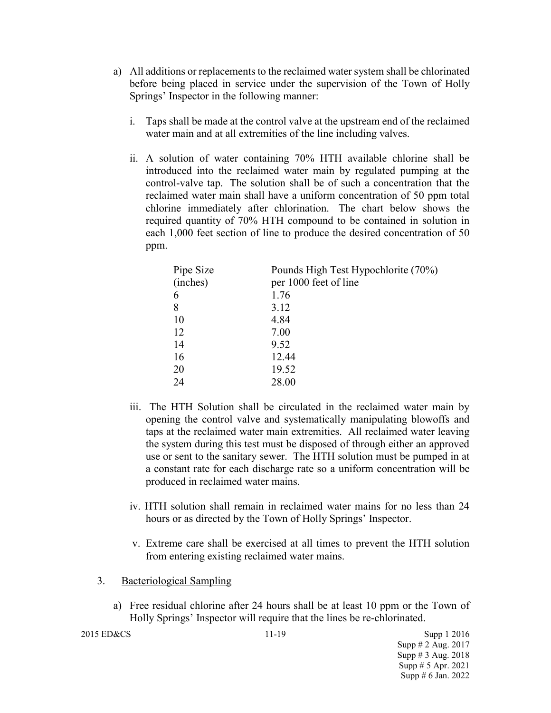- a) All additions or replacements to the reclaimed water system shall be chlorinated before being placed in service under the supervision of the Town of Holly Springs' Inspector in the following manner:
	- i. Taps shall be made at the control valve at the upstream end of the reclaimed water main and at all extremities of the line including valves.
	- ii. A solution of water containing 70% HTH available chlorine shall be introduced into the reclaimed water main by regulated pumping at the control-valve tap. The solution shall be of such a concentration that the reclaimed water main shall have a uniform concentration of 50 ppm total chlorine immediately after chlorination. The chart below shows the required quantity of 70% HTH compound to be contained in solution in each 1,000 feet section of line to produce the desired concentration of 50 ppm.

| Pipe Size | Pounds High Test Hypochlorite (70%) |
|-----------|-------------------------------------|
| (inches)  | per 1000 feet of line               |
| 6         | 1.76                                |
| 8         | 3.12                                |
| 10        | 4.84                                |
| 12        | 7.00                                |
| 14        | 9.52                                |
| 16        | 12.44                               |
| 20        | 19.52                               |
| 24        | 28.00                               |

- iii. The HTH Solution shall be circulated in the reclaimed water main by opening the control valve and systematically manipulating blowoffs and taps at the reclaimed water main extremities. All reclaimed water leaving the system during this test must be disposed of through either an approved use or sent to the sanitary sewer. The HTH solution must be pumped in at a constant rate for each discharge rate so a uniform concentration will be produced in reclaimed water mains.
- iv. HTH solution shall remain in reclaimed water mains for no less than 24 hours or as directed by the Town of Holly Springs' Inspector.
- v. Extreme care shall be exercised at all times to prevent the HTH solution from entering existing reclaimed water mains.
- 3. Bacteriological Sampling
	- a) Free residual chlorine after 24 hours shall be at least 10 ppm or the Town of Holly Springs' Inspector will require that the lines be re-chlorinated.

```
2015 ED&CS 11-19 Supp 1 2016
```
Supp # 2 Aug. 2017 Supp # 3 Aug. 2018 Supp # 5 Apr. 2021 Supp # 6 Jan. 2022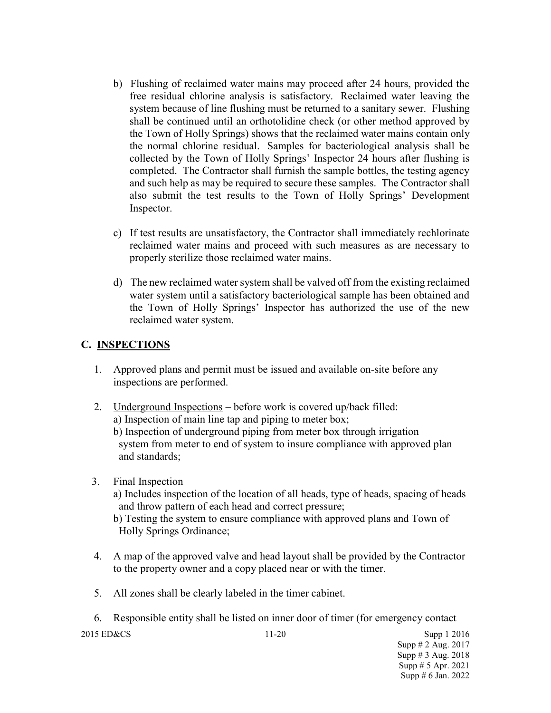- b) Flushing of reclaimed water mains may proceed after 24 hours, provided the free residual chlorine analysis is satisfactory. Reclaimed water leaving the system because of line flushing must be returned to a sanitary sewer. Flushing shall be continued until an orthotolidine check (or other method approved by the Town of Holly Springs) shows that the reclaimed water mains contain only the normal chlorine residual. Samples for bacteriological analysis shall be collected by the Town of Holly Springs' Inspector 24 hours after flushing is completed. The Contractor shall furnish the sample bottles, the testing agency and such help as may be required to secure these samples. The Contractor shall also submit the test results to the Town of Holly Springs' Development Inspector.
- c) If test results are unsatisfactory, the Contractor shall immediately rechlorinate reclaimed water mains and proceed with such measures as are necessary to properly sterilize those reclaimed water mains.
- d) The new reclaimed water system shall be valved off from the existing reclaimed water system until a satisfactory bacteriological sample has been obtained and the Town of Holly Springs' Inspector has authorized the use of the new reclaimed water system.

# **C. INSPECTIONS**

- 1. Approved plans and permit must be issued and available on-site before any inspections are performed.
- 2. Underground Inspections before work is covered up/back filled: a) Inspection of main line tap and piping to meter box;

b) Inspection of underground piping from meter box through irrigation system from meter to end of system to insure compliance with approved plan and standards;

3. Final Inspection

a) Includes inspection of the location of all heads, type of heads, spacing of heads and throw pattern of each head and correct pressure;

b) Testing the system to ensure compliance with approved plans and Town of Holly Springs Ordinance;

- 4. A map of the approved valve and head layout shall be provided by the Contractor to the property owner and a copy placed near or with the timer.
- 5. All zones shall be clearly labeled in the timer cabinet.

6. Responsible entity shall be listed on inner door of timer (for emergency contact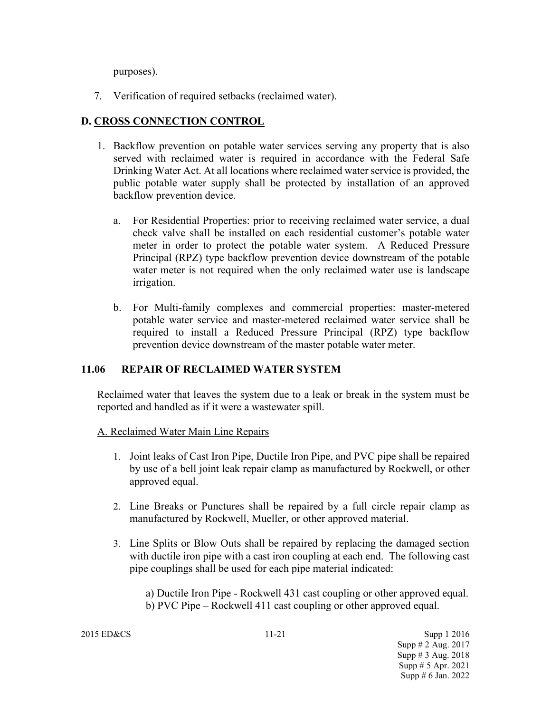purposes).

7. Verification of required setbacks (reclaimed water).

# **D. CROSS CONNECTION CONTROL**

- 1. Backflow prevention on potable water services serving any property that is also served with reclaimed water is required in accordance with the Federal Safe Drinking Water Act. At all locations where reclaimed water service is provided, the public potable water supply shall be protected by installation of an approved backflow prevention device.
	- a. For Residential Properties: prior to receiving reclaimed water service, a dual check valve shall be installed on each residential customer's potable water meter in order to protect the potable water system. A Reduced Pressure Principal (RPZ) type backflow prevention device downstream of the potable water meter is not required when the only reclaimed water use is landscape irrigation.
	- b. For Multi-family complexes and commercial properties: master-metered potable water service and master-metered reclaimed water service shall be required to install a Reduced Pressure Principal (RPZ) type backflow prevention device downstream of the master potable water meter.

## **11.06 REPAIR OF RECLAIMED WATER SYSTEM**

Reclaimed water that leaves the system due to a leak or break in the system must be reported and handled as if it were a wastewater spill.

## A. Reclaimed Water Main Line Repairs

- 1. Joint leaks of Cast Iron Pipe, Ductile Iron Pipe, and PVC pipe shall be repaired by use of a bell joint leak repair clamp as manufactured by Rockwell, or other approved equal.
- 2. Line Breaks or Punctures shall be repaired by a full circle repair clamp as manufactured by Rockwell, Mueller, or other approved material.
- 3. Line Splits or Blow Outs shall be repaired by replacing the damaged section with ductile iron pipe with a cast iron coupling at each end. The following cast pipe couplings shall be used for each pipe material indicated:

a) Ductile Iron Pipe - Rockwell 431 cast coupling or other approved equal. b) PVC Pipe – Rockwell 411 cast coupling or other approved equal.